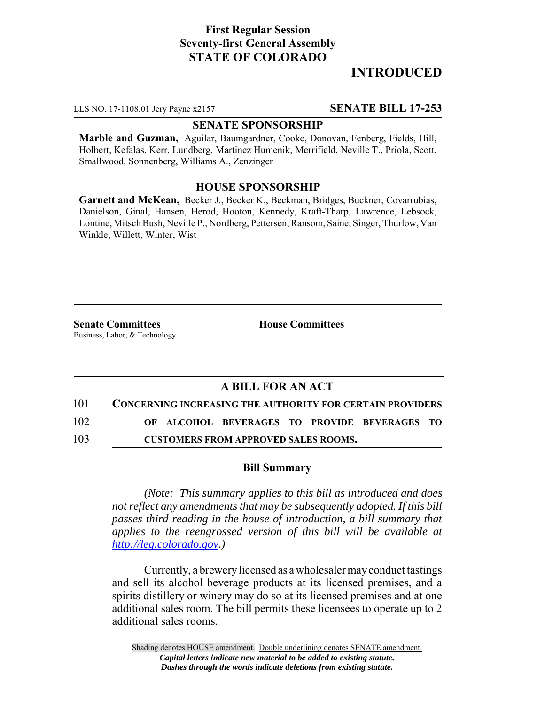# **First Regular Session Seventy-first General Assembly STATE OF COLORADO**

# **INTRODUCED**

LLS NO. 17-1108.01 Jery Payne x2157 **SENATE BILL 17-253**

#### **SENATE SPONSORSHIP**

**Marble and Guzman,** Aguilar, Baumgardner, Cooke, Donovan, Fenberg, Fields, Hill, Holbert, Kefalas, Kerr, Lundberg, Martinez Humenik, Merrifield, Neville T., Priola, Scott, Smallwood, Sonnenberg, Williams A., Zenzinger

### **HOUSE SPONSORSHIP**

**Garnett and McKean,** Becker J., Becker K., Beckman, Bridges, Buckner, Covarrubias, Danielson, Ginal, Hansen, Herod, Hooton, Kennedy, Kraft-Tharp, Lawrence, Lebsock, Lontine, Mitsch Bush, Neville P., Nordberg, Pettersen, Ransom, Saine, Singer, Thurlow, Van Winkle, Willett, Winter, Wist

**Senate Committees House Committees** Business, Labor, & Technology

## **A BILL FOR AN ACT**

101 **CONCERNING INCREASING THE AUTHORITY FOR CERTAIN PROVIDERS**

102 **OF ALCOHOL BEVERAGES TO PROVIDE BEVERAGES TO**

103 **CUSTOMERS FROM APPROVED SALES ROOMS.**

#### **Bill Summary**

*(Note: This summary applies to this bill as introduced and does not reflect any amendments that may be subsequently adopted. If this bill passes third reading in the house of introduction, a bill summary that applies to the reengrossed version of this bill will be available at http://leg.colorado.gov.)*

Currently, a brewery licensed as a wholesaler may conduct tastings and sell its alcohol beverage products at its licensed premises, and a spirits distillery or winery may do so at its licensed premises and at one additional sales room. The bill permits these licensees to operate up to 2 additional sales rooms.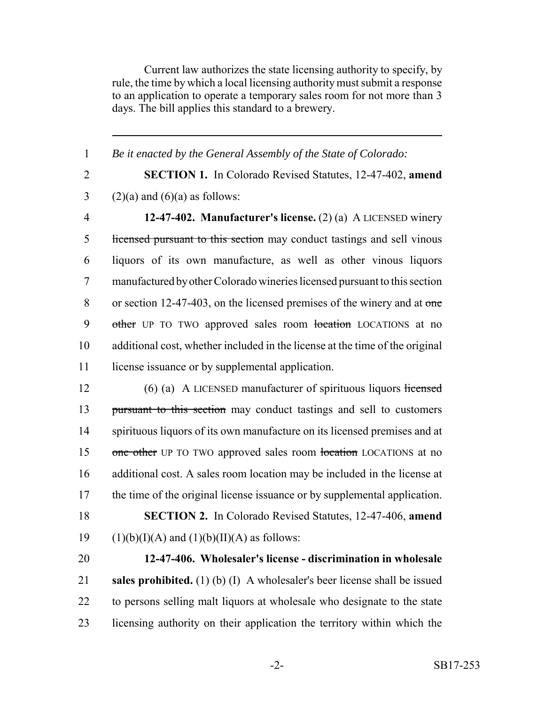Current law authorizes the state licensing authority to specify, by rule, the time by which a local licensing authority must submit a response to an application to operate a temporary sales room for not more than 3 days. The bill applies this standard to a brewery.

 *Be it enacted by the General Assembly of the State of Colorado:* **SECTION 1.** In Colorado Revised Statutes, 12-47-402, **amend** 3 (2)(a) and (6)(a) as follows: **12-47-402. Manufacturer's license.** (2) (a) A LICENSED winery licensed pursuant to this section may conduct tastings and sell vinous liquors of its own manufacture, as well as other vinous liquors manufactured by other Colorado wineries licensed pursuant to this section 8 or section 12-47-403, on the licensed premises of the winery and at one 9 other UP TO TWO approved sales room location LOCATIONS at no additional cost, whether included in the license at the time of the original 11 license issuance or by supplemental application.

12 (6) (a) A LICENSED manufacturer of spirituous liquors licensed 13 pursuant to this section may conduct tastings and sell to customers 14 spirituous liquors of its own manufacture on its licensed premises and at 15 one other UP TO TWO approved sales room location LOCATIONS at no 16 additional cost. A sales room location may be included in the license at 17 the time of the original license issuance or by supplemental application. 18 **SECTION 2.** In Colorado Revised Statutes, 12-47-406, **amend** 19 (1)(b)(I)(A) and (1)(b)(II)(A) as follows:

 **12-47-406. Wholesaler's license - discrimination in wholesale sales prohibited.** (1) (b) (I) A wholesaler's beer license shall be issued to persons selling malt liquors at wholesale who designate to the state licensing authority on their application the territory within which the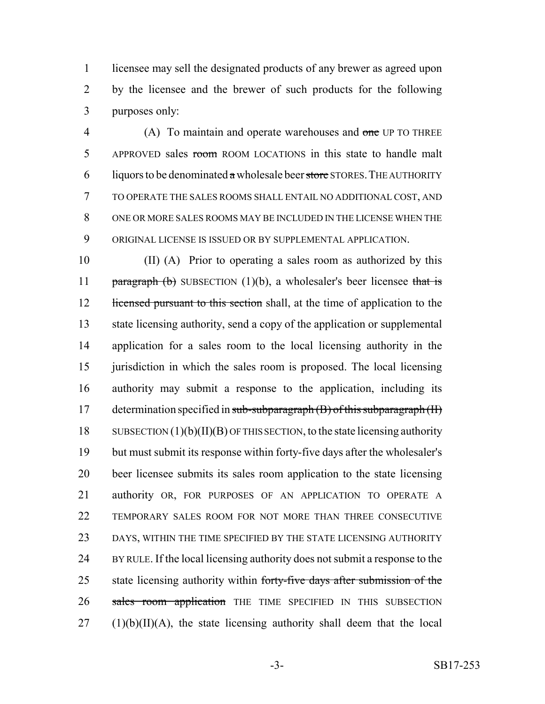licensee may sell the designated products of any brewer as agreed upon by the licensee and the brewer of such products for the following purposes only:

4 (A) To maintain and operate warehouses and one UP TO THREE 5 APPROVED sales room ROOM LOCATIONS in this state to handle malt 6 liquors to be denominated  $\alpha$  wholesale beer store STORES. THE AUTHORITY TO OPERATE THE SALES ROOMS SHALL ENTAIL NO ADDITIONAL COST, AND ONE OR MORE SALES ROOMS MAY BE INCLUDED IN THE LICENSE WHEN THE ORIGINAL LICENSE IS ISSUED OR BY SUPPLEMENTAL APPLICATION.

 (II) (A) Prior to operating a sales room as authorized by this **paragraph (b)** SUBSECTION  $(1)(b)$ , a wholesaler's beer licensee that is 12 licensed pursuant to this section shall, at the time of application to the state licensing authority, send a copy of the application or supplemental application for a sales room to the local licensing authority in the jurisdiction in which the sales room is proposed. The local licensing authority may submit a response to the application, including its 17 determination specified in sub-subparagraph  $(B)$  of this subparagraph  $(H)$ 18 SUBSECTION  $(1)(b)(II)(B)$  OF THIS SECTION, to the state licensing authority but must submit its response within forty-five days after the wholesaler's beer licensee submits its sales room application to the state licensing authority OR, FOR PURPOSES OF AN APPLICATION TO OPERATE A TEMPORARY SALES ROOM FOR NOT MORE THAN THREE CONSECUTIVE DAYS, WITHIN THE TIME SPECIFIED BY THE STATE LICENSING AUTHORITY BY RULE. If the local licensing authority does not submit a response to the 25 state licensing authority within forty-five days after submission of the 26 sales room application THE TIME SPECIFIED IN THIS SUBSECTION (1)(b)(II)(A), the state licensing authority shall deem that the local